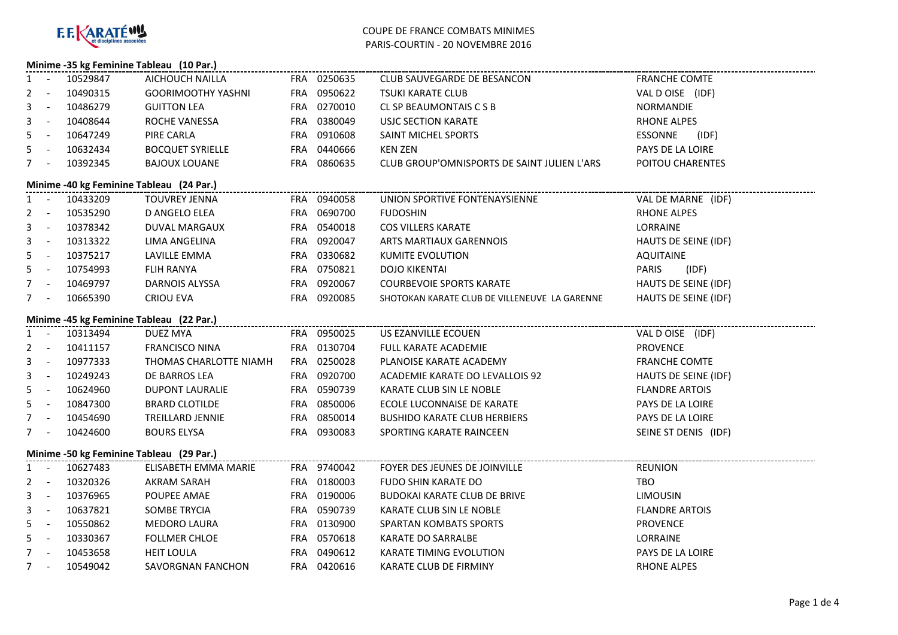

## COUPE DE FRANCE COMBATS MINIMESPARIS-COURTIN - 20 NOVEMBRE 2016

| Minime -35 kg Feminine Tableau (10 Par.) |                                          |              |                           |  |             |                                                             |                       |  |  |  |  |
|------------------------------------------|------------------------------------------|--------------|---------------------------|--|-------------|-------------------------------------------------------------|-----------------------|--|--|--|--|
|                                          | $1 -$                                    | 10529847     | AICHOUCH NAILLA           |  | FRA 0250635 | CLUB SAUVEGARDE DE BESANCON                                 | <b>FRANCHE COMTE</b>  |  |  |  |  |
| 2                                        | $\sim 100$                               | 10490315     | <b>GOORIMOOTHY YASHNI</b> |  | FRA 0950622 | <b>TSUKI KARATE CLUB</b>                                    | VAL DOISE (IDF)       |  |  |  |  |
| 3                                        | $\sim 100$                               | 10486279     | <b>GUITTON LEA</b>        |  | FRA 0270010 | CL SP BEAUMONTAIS C S B                                     | NORMANDIE             |  |  |  |  |
| 3                                        | $\sim 10^{-11}$                          | 10408644     | ROCHE VANESSA             |  | FRA 0380049 | USJC SECTION KARATE                                         | <b>RHONE ALPES</b>    |  |  |  |  |
| 5.                                       | $\sim 100$                               | 10647249     | PIRE CARLA                |  | FRA 0910608 | SAINT MICHEL SPORTS                                         | ESSONNE<br>(IDF)      |  |  |  |  |
|                                          | $5 -$                                    | 10632434     | <b>BOCQUET SYRIELLE</b>   |  | FRA 0440666 | <b>KEN ZEN</b>                                              | PAYS DE LA LOIRE      |  |  |  |  |
|                                          | $7 -$                                    | 10392345     | <b>BAJOUX LOUANE</b>      |  | FRA 0860635 | CLUB GROUP'OMNISPORTS DE SAINT JULIEN L'ARS                 | POITOU CHARENTES      |  |  |  |  |
|                                          | Minime -40 kg Feminine Tableau (24 Par.) |              |                           |  |             |                                                             |                       |  |  |  |  |
|                                          |                                          | 1 - 10433209 | <b>TOUVREY JENNA</b>      |  | FRA 0940058 | --------------------------<br>UNION SPORTIVE FONTENAYSIENNE | VAL DE MARNE (IDF)    |  |  |  |  |
|                                          | $2 - 1$                                  | 10535290     | D ANGELO ELEA             |  | FRA 0690700 | <b>FUDOSHIN</b>                                             | RHONE ALPES           |  |  |  |  |
|                                          | $3 - 1$                                  | 10378342     | DUVAL MARGAUX             |  | FRA 0540018 | <b>COS VILLERS KARATE</b>                                   | LORRAINE              |  |  |  |  |
|                                          | $3 - 1$                                  | 10313322     | LIMA ANGELINA             |  | FRA 0920047 | ARTS MARTIAUX GARENNOIS                                     | HAUTS DE SEINE (IDF)  |  |  |  |  |
|                                          | $5 - 1$                                  | 10375217     | LAVILLE EMMA              |  | FRA 0330682 | KUMITE EVOLUTION                                            | <b>AQUITAINE</b>      |  |  |  |  |
|                                          | $5 - 5$                                  | 10754993     | <b>FLIH RANYA</b>         |  | FRA 0750821 | <b>DOJO KIKENTAI</b>                                        | <b>PARIS</b><br>(IDF) |  |  |  |  |
|                                          | $7 -$                                    | 10469797     | DARNOIS ALYSSA            |  | FRA 0920067 | <b>COURBEVOIE SPORTS KARATE</b>                             | HAUTS DE SEINE (IDF)  |  |  |  |  |
|                                          | $7 -$                                    | 10665390     | CRIOU EVA                 |  | FRA 0920085 | SHOTOKAN KARATE CLUB DE VILLENEUVE LA GARENNE               | HAUTS DE SEINE (IDF)  |  |  |  |  |
|                                          |                                          |              |                           |  |             |                                                             |                       |  |  |  |  |
|                                          |                                          | 1 - 10313494 | <b>DUEZ MYA</b>           |  | FRA 0950025 | US EZANVILLE ECOUEN                                         | VAL D OISE (IDF)      |  |  |  |  |
|                                          | $2 - 1$                                  | 10411157     | <b>FRANCISCO NINA</b>     |  | FRA 0130704 | FULL KARATE ACADEMIE                                        | <b>PROVENCE</b>       |  |  |  |  |
|                                          | $3 - 1$                                  | 10977333     | THOMAS CHARLOTTE NIAMH    |  | FRA 0250028 | PLANOISE KARATE ACADEMY                                     | <b>FRANCHE COMTE</b>  |  |  |  |  |
| 3                                        | $\sim 10^{-11}$                          | 10249243     | DE BARROS LEA             |  | FRA 0920700 | ACADEMIE KARATE DO LEVALLOIS 92                             | HAUTS DE SEINE (IDF)  |  |  |  |  |
| 5                                        | $\sim 100$                               | 10624960     | <b>DUPONT LAURALIE</b>    |  | FRA 0590739 | KARATE CLUB SIN LE NOBLE                                    | <b>FLANDRE ARTOIS</b> |  |  |  |  |
|                                          | $5 - 1$                                  | 10847300     | <b>BRARD CLOTILDE</b>     |  | FRA 0850006 | ECOLE LUCONNAISE DE KARATE                                  | PAYS DE LA LOIRE      |  |  |  |  |
|                                          | $7 -$                                    | 10454690     | TREILLARD JENNIE          |  | FRA 0850014 | <b>BUSHIDO KARATE CLUB HERBIERS</b>                         | PAYS DE LA LOIRE      |  |  |  |  |
|                                          | $7 -$                                    | 10424600     | <b>BOURS ELYSA</b>        |  | FRA 0930083 | SPORTING KARATE RAINCEEN                                    | SEINE ST DENIS (IDF)  |  |  |  |  |
|                                          | Minime -50 kg Feminine Tableau (29 Par.) |              |                           |  |             |                                                             |                       |  |  |  |  |
|                                          | $1 - -$                                  | 10627483     | ELISABETH EMMA MARIE      |  | FRA 9740042 | FOYER DES JEUNES DE JOINVILLE                               | <b>REUNION</b>        |  |  |  |  |
|                                          | $2 -$                                    | 10320326     | AKRAM SARAH               |  | FRA 0180003 | FUDO SHIN KARATE DO                                         | TBO                   |  |  |  |  |
|                                          | $3 - 1$                                  | 10376965     | POUPEE AMAE               |  | FRA 0190006 | <b>BUDOKAI KARATE CLUB DE BRIVE</b>                         | <b>LIMOUSIN</b>       |  |  |  |  |
| 3                                        | $\sim$ $-$                               | 10637821     | SOMBE TRYCIA              |  | FRA 0590739 | KARATE CLUB SIN LE NOBLE                                    | <b>FLANDRE ARTOIS</b> |  |  |  |  |
| 5                                        | $\sim$ $-$                               | 10550862     | MEDORO LAURA              |  | FRA 0130900 | SPARTAN KOMBATS SPORTS                                      | <b>PROVENCE</b>       |  |  |  |  |
|                                          | $5 -$                                    | 10330367     | <b>FOLLMER CHLOE</b>      |  | FRA 0570618 | KARATE DO SARRALBE                                          | LORRAINE              |  |  |  |  |
|                                          | $7 -$                                    | 10453658     | <b>HEIT LOULA</b>         |  | FRA 0490612 | KARATE TIMING EVOLUTION                                     | PAYS DE LA LOIRE      |  |  |  |  |
|                                          | $7 -$                                    | 10549042     | SAVORGNAN FANCHON         |  | FRA 0420616 | KARATE CLUB DE FIRMINY                                      | <b>RHONE ALPES</b>    |  |  |  |  |
|                                          |                                          |              |                           |  |             |                                                             |                       |  |  |  |  |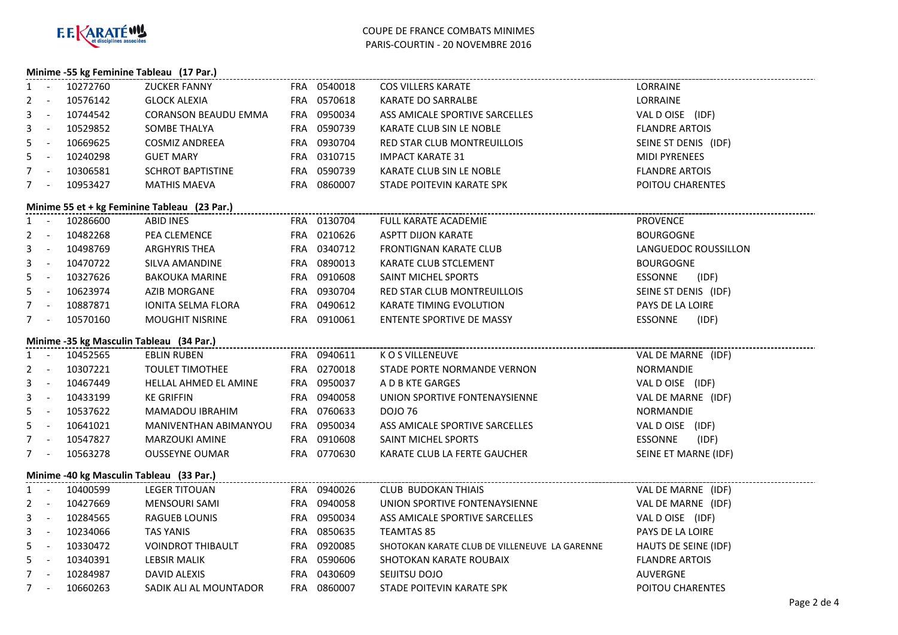

## COUPE DE FRANCE COMBATS MINIMESPARIS-COURTIN - 20 NOVEMBRE 2016

### **Minime -55 kg Feminine Tableau (17 Par.)**

| 1                                            |                          | - 10272760   | <b>ZUCKER FANNY</b>                                                                  |  | FRA 0540018 | <b>COS VILLERS KARATE</b>                     | LORRAINE              |  |  |
|----------------------------------------------|--------------------------|--------------|--------------------------------------------------------------------------------------|--|-------------|-----------------------------------------------|-----------------------|--|--|
|                                              |                          | 2 - 10576142 | <b>GLOCK ALEXIA</b>                                                                  |  | FRA 0570618 | KARATE DO SARRALBE                            | LORRAINE              |  |  |
|                                              |                          | 3 - 10744542 | <b>CORANSON BEAUDU EMMA</b>                                                          |  | FRA 0950034 | ASS AMICALE SPORTIVE SARCELLES                | VAL DOISE (IDF)       |  |  |
|                                              |                          | 3 - 10529852 | SOMBE THALYA                                                                         |  | FRA 0590739 | KARATE CLUB SIN LE NOBLE                      | <b>FLANDRE ARTOIS</b> |  |  |
| 5.                                           |                          | $-10669625$  | <b>COSMIZ ANDREEA</b>                                                                |  | FRA 0930704 | RED STAR CLUB MONTREUILLOIS                   | SEINE ST DENIS (IDF)  |  |  |
|                                              |                          | 5 - 10240298 | <b>GUET MARY</b>                                                                     |  | FRA 0310715 | <b>IMPACT KARATE 31</b>                       | <b>MIDI PYRENEES</b>  |  |  |
|                                              |                          | 7 - 10306581 | <b>SCHROT BAPTISTINE</b>                                                             |  | FRA 0590739 | KARATE CLUB SIN LE NOBLE                      | <b>FLANDRE ARTOIS</b> |  |  |
|                                              |                          | 7 - 10953427 | MATHIS MAEVA                                                                         |  | FRA 0860007 | STADE POITEVIN KARATE SPK                     | POITOU CHARENTES      |  |  |
| Minime 55 et + kg Feminine Tableau (23 Par.) |                          |              |                                                                                      |  |             |                                               |                       |  |  |
|                                              |                          | 1 - 10286600 | ABID INES                                                                            |  | FRA 0130704 | FULL KARATE ACADEMIE                          | <b>PROVENCE</b>       |  |  |
|                                              |                          | 2 - 10482268 | PEA CLEMENCE                                                                         |  | FRA 0210626 | ASPTT DIJON KARATE                            | <b>BOURGOGNE</b>      |  |  |
|                                              |                          | 3 - 10498769 | ARGHYRIS THEA                                                                        |  | FRA 0340712 | FRONTIGNAN KARATE CLUB                        | LANGUEDOC ROUSSILLON  |  |  |
|                                              |                          | 3 - 10470722 | SILVA AMANDINE                                                                       |  | FRA 0890013 | KARATE CLUB STCLEMENT                         | <b>BOURGOGNE</b>      |  |  |
| 5                                            |                          | $-10327626$  | <b>BAKOUKA MARINE</b>                                                                |  | FRA 0910608 | SAINT MICHEL SPORTS                           | ESSONNE (IDF)         |  |  |
|                                              |                          | 5 - 10623974 | AZIB MORGANE                                                                         |  | FRA 0930704 | RED STAR CLUB MONTREUILLOIS                   | SEINE ST DENIS (IDF)  |  |  |
|                                              | $7 -$                    | 10887871     | IONITA SELMA FLORA                                                                   |  | FRA 0490612 | KARATE TIMING EVOLUTION                       | PAYS DE LA LOIRE      |  |  |
|                                              | $7 -$                    | 10570160     | <b>MOUGHIT NISRINE</b>                                                               |  | FRA 0910061 | ENTENTE SPORTIVE DE MASSY                     | ESSONNE (IDF)         |  |  |
|                                              |                          |              | Minime -35 kg Masculin Tableau (34 Par.)<br>minime -35 kg Masculin Tableau (34 Par.) |  |             |                                               |                       |  |  |
|                                              |                          | 1 - 10452565 | EBLIN RUBEN                                                                          |  | FRA 0940611 | K O S VILLENEUVE                              | VAL DE MARNE (IDF)    |  |  |
|                                              |                          | 2 - 10307221 | <b>TOULET TIMOTHEE</b>                                                               |  | FRA 0270018 | STADE PORTE NORMANDE VERNON                   | NORMANDIE             |  |  |
|                                              |                          | 3 - 10467449 | HELLAL AHMED EL AMINE                                                                |  | FRA 0950037 | A D B KTE GARGES                              | VAL DOISE (IDF)       |  |  |
|                                              |                          | 3 - 10433199 | <b>KE GRIFFIN</b>                                                                    |  | FRA 0940058 | UNION SPORTIVE FONTENAYSIENNE                 | VAL DE MARNE (IDF)    |  |  |
|                                              | $5 - 1$                  | 10537622     | MAMADOU IBRAHIM                                                                      |  | FRA 0760633 | <b>DOJO 76</b>                                | NORMANDIE             |  |  |
|                                              | $5 - 1$                  | 10641021     | MANIVENTHAN ABIMANYOU                                                                |  | FRA 0950034 | ASS AMICALE SPORTIVE SARCELLES                | VAL DOISE (IDF)       |  |  |
|                                              | $7 -$                    | 10547827     | MARZOUKI AMINE                                                                       |  | FRA 0910608 | SAINT MICHEL SPORTS                           | ESSONNE (IDF)         |  |  |
|                                              | $7 -$                    | 10563278     | <b>OUSSEYNE OUMAR</b>                                                                |  | FRA 0770630 | KARATE CLUB LA FERTE GAUCHER                  | SEINE ET MARNE (IDF)  |  |  |
| Minime -40 kg Masculin Tableau (33 Par.)     |                          |              |                                                                                      |  |             |                                               |                       |  |  |
|                                              |                          | 1 - 10400599 | <b>LEGER TITOUAN</b>                                                                 |  | FRA 0940026 | <b>CLUB BUDOKAN THIAIS</b>                    | VAL DE MARNE (IDF)    |  |  |
|                                              | $2 - 1$                  | 10427669     | <b>MENSOURI SAMI</b>                                                                 |  | FRA 0940058 | UNION SPORTIVE FONTENAYSIENNE                 | VAL DE MARNE (IDF)    |  |  |
|                                              | $3 - 1$                  | 10284565     | <b>RAGUEB LOUNIS</b>                                                                 |  | FRA 0950034 | ASS AMICALE SPORTIVE SARCELLES                | VAL DOISE (IDF)       |  |  |
| 3                                            | $\sim 1000$ km s $^{-1}$ | 10234066     | <b>TAS YANIS</b>                                                                     |  | FRA 0850635 | <b>TEAMTAS 85</b>                             | PAYS DE LA LOIRE      |  |  |
|                                              | $5 -$                    | 10330472     | <b>VOINDROT THIBAULT</b>                                                             |  | FRA 0920085 | SHOTOKAN KARATE CLUB DE VILLENEUVE LA GARENNE | HAUTS DE SEINE (IDF)  |  |  |
|                                              | $5 - 1$                  | 10340391     | LEBSIR MALIK                                                                         |  | FRA 0590606 | SHOTOKAN KARATE ROUBAIX                       | <b>FLANDRE ARTOIS</b> |  |  |
|                                              |                          | 7 - 10284987 | DAVID ALEXIS                                                                         |  | FRA 0430609 | SEIJITSU DOJO                                 | AUVERGNE              |  |  |
|                                              |                          | 7 - 10660263 | SADIK ALI AL MOUNTADOR                                                               |  | FRA 0860007 | STADE POITEVIN KARATE SPK                     | POITOU CHARENTES      |  |  |
|                                              |                          |              |                                                                                      |  |             |                                               |                       |  |  |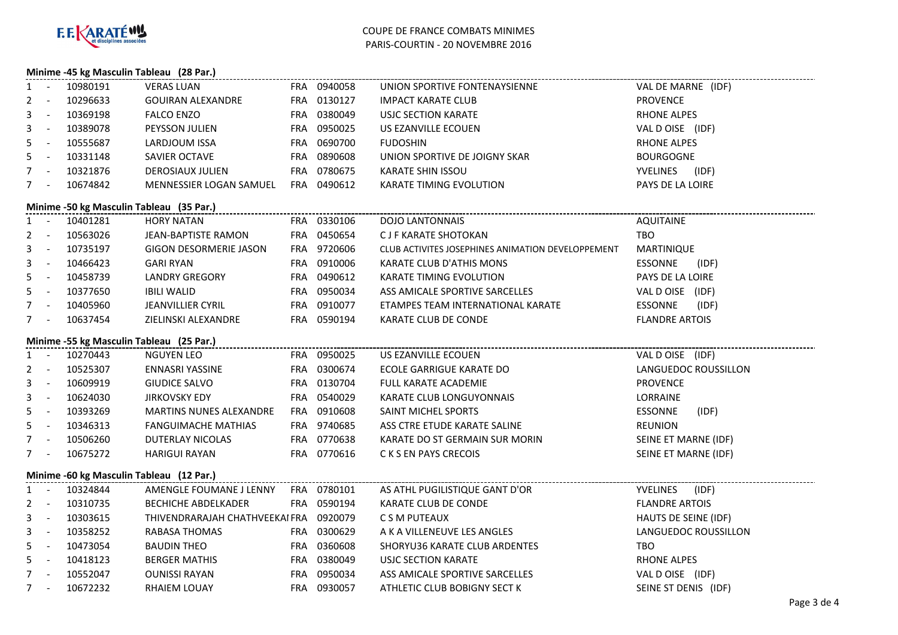

#### **Minime -45 kg Masculin Tableau (28 Par.)**

| 1                                                                                 |       |              |                                                                                      |  |             |                                                   |                       |  |  |  |
|-----------------------------------------------------------------------------------|-------|--------------|--------------------------------------------------------------------------------------|--|-------------|---------------------------------------------------|-----------------------|--|--|--|
|                                                                                   |       | 2 - 10296633 | <b>GOUIRAN ALEXANDRE</b>                                                             |  | FRA 0130127 | <b>IMPACT KARATE CLUB</b>                         | <b>PROVENCE</b>       |  |  |  |
|                                                                                   |       | 3 - 10369198 | <b>FALCO ENZO</b>                                                                    |  | FRA 0380049 | USJC SECTION KARATE                               | <b>RHONE ALPES</b>    |  |  |  |
|                                                                                   |       | 3 - 10389078 | PEYSSON JULIEN                                                                       |  | FRA 0950025 | US EZANVILLE ECOUEN                               | VAL DOISE (IDF)       |  |  |  |
|                                                                                   |       | 5 - 10555687 | LARDJOUM ISSA                                                                        |  | FRA 0690700 | <b>FUDOSHIN</b>                                   | <b>RHONE ALPES</b>    |  |  |  |
|                                                                                   |       | 5 - 10331148 | SAVIER OCTAVE                                                                        |  | FRA 0890608 | UNION SPORTIVE DE JOIGNY SKAR                     | <b>BOURGOGNE</b>      |  |  |  |
|                                                                                   |       | 7 - 10321876 | DEROSIAUX JULIEN                                                                     |  | FRA 0780675 | KARATE SHIN ISSOU                                 | YVELINES (IDF)        |  |  |  |
|                                                                                   |       | 7 - 10674842 | MENNESSIER LOGAN SAMUEL FRA 0490612                                                  |  |             | KARATE TIMING EVOLUTION                           | PAYS DE LA LOIRE      |  |  |  |
| Minime -50 kg Masculin Tableau (35 Par.)<br>1990 - The Masculin Tableau (35 Par.) |       |              |                                                                                      |  |             |                                                   |                       |  |  |  |
|                                                                                   |       | 1 - 10401281 | HORY NATAN                                                                           |  | FRA 0330106 | <b>DOJO LANTONNAIS</b>                            | <b>AQUITAINE</b>      |  |  |  |
|                                                                                   |       | 2 - 10563026 | JEAN-BAPTISTE RAMON                                                                  |  | FRA 0450654 | C J F KARATE SHOTOKAN                             | TBO                   |  |  |  |
|                                                                                   |       | 3 - 10735197 | GIGON DESORMERIE JASON                                                               |  | FRA 9720606 | CLUB ACTIVITES JOSEPHINES ANIMATION DEVELOPPEMENT | MARTINIQUE            |  |  |  |
|                                                                                   |       | 3 - 10466423 | <b>GARI RYAN</b>                                                                     |  | FRA 0910006 | KARATE CLUB D'ATHIS MONS                          | ESSONNE (IDF)         |  |  |  |
| 5                                                                                 |       | - 10458739   | <b>LANDRY GREGORY</b>                                                                |  | FRA 0490612 | KARATE TIMING EVOLUTION                           | PAYS DE LA LOIRE      |  |  |  |
| 5                                                                                 |       | $- 10377650$ | <b>IBILI WALID</b>                                                                   |  | FRA 0950034 | ASS AMICALE SPORTIVE SARCELLES                    | VAL DOISE (IDF)       |  |  |  |
|                                                                                   |       | 7 - 10405960 | <b>JEANVILLIER CYRIL</b>                                                             |  | FRA 0910077 | ETAMPES TEAM INTERNATIONAL KARATE                 | ESSONNE (IDF)         |  |  |  |
|                                                                                   | $7 -$ | 10637454     | ZIELINSKI ALEXANDRE                                                                  |  | FRA 0590194 | KARATE CLUB DE CONDE                              | <b>FLANDRE ARTOIS</b> |  |  |  |
|                                                                                   |       |              | Minime -55 kg Masculin Tableau (25 Par.)<br>minime -55 kg Masculin Tableau (25 Par.) |  |             |                                                   |                       |  |  |  |
|                                                                                   |       | 1 - 10270443 | NGUYEN LEO                                                                           |  | FRA 0950025 | US EZANVILLE ECOUEN                               | VAL DOISE (IDF)       |  |  |  |
|                                                                                   |       | 2 - 10525307 | ENNASRI YASSINE                                                                      |  | FRA 0300674 | ECOLE GARRIGUE KARATE DO                          | LANGUEDOC ROUSSILLON  |  |  |  |
|                                                                                   |       | 3 - 10609919 | GIUDICE SALVO                                                                        |  | FRA 0130704 | FULL KARATE ACADEMIE                              | <b>PROVENCE</b>       |  |  |  |
|                                                                                   |       | 3 - 10624030 | <b>JIRKOVSKY EDY</b>                                                                 |  | FRA 0540029 | KARATE CLUB LONGUYONNAIS                          | LORRAINE              |  |  |  |
|                                                                                   |       | 5 - 10393269 | MARTINS NUNES ALEXANDRE                                                              |  | FRA 0910608 | SAINT MICHEL SPORTS                               | (IDF)<br>ESSONNE      |  |  |  |
|                                                                                   |       | 5 - 10346313 | <b>FANGUIMACHE MATHIAS</b>                                                           |  | FRA 9740685 | ASS CTRE ETUDE KARATE SALINE                      | <b>REUNION</b>        |  |  |  |
|                                                                                   |       | 7 - 10506260 | DUTERLAY NICOLAS                                                                     |  | FRA 0770638 | KARATE DO ST GERMAIN SUR MORIN                    | SEINE ET MARNE (IDF)  |  |  |  |
|                                                                                   | $7 -$ | 10675272     | <b>HARIGUI RAYAN</b>                                                                 |  | FRA 0770616 | C K S EN PAYS CRECOIS                             | SEINE ET MARNE (IDF)  |  |  |  |
| Minime -60 kg Masculin Tableau (12 Par.)                                          |       |              |                                                                                      |  |             |                                                   |                       |  |  |  |
|                                                                                   |       | 1 - 10324844 | AMENGLE FOUMANE J LENNY FRA 0780101                                                  |  |             | AS ATHL PUGILISTIQUE GANT D'OR                    | YVELINES (IDF)        |  |  |  |
|                                                                                   |       | 2 - 10310735 | <b>BECHICHE ABDELKADER</b>                                                           |  | FRA 0590194 | KARATE CLUB DE CONDE                              | <b>FLANDRE ARTOIS</b> |  |  |  |
|                                                                                   |       | 3 - 10303615 | THIVENDRARAJAH CHATHVEEKAI FRA 0920079                                               |  |             | C S M PUTEAUX                                     | HAUTS DE SEINE (IDF)  |  |  |  |
|                                                                                   |       | 3 - 10358252 | RABASA THOMAS                                                                        |  | FRA 0300629 | A K A VILLENEUVE LES ANGLES                       | LANGUEDOC ROUSSILLON  |  |  |  |
|                                                                                   |       | 5 - 10473054 | <b>BAUDIN THEO</b>                                                                   |  | FRA 0360608 | SHORYU36 KARATE CLUB ARDENTES                     | TBO                   |  |  |  |
|                                                                                   |       | 5 - 10418123 | <b>BERGER MATHIS</b>                                                                 |  | FRA 0380049 | USJC SECTION KARATE                               | <b>RHONE ALPES</b>    |  |  |  |
|                                                                                   |       | 7 - 10552047 | <b>OUNISSI RAYAN</b>                                                                 |  | FRA 0950034 | ASS AMICALE SPORTIVE SARCELLES                    | VAL DOISE (IDF)       |  |  |  |
|                                                                                   |       | 7 - 10672232 | RHAIEM LOUAY                                                                         |  | FRA 0930057 | ATHLETIC CLUB BOBIGNY SECT K                      | SEINE ST DENIS (IDF)  |  |  |  |
|                                                                                   |       |              |                                                                                      |  |             |                                                   |                       |  |  |  |